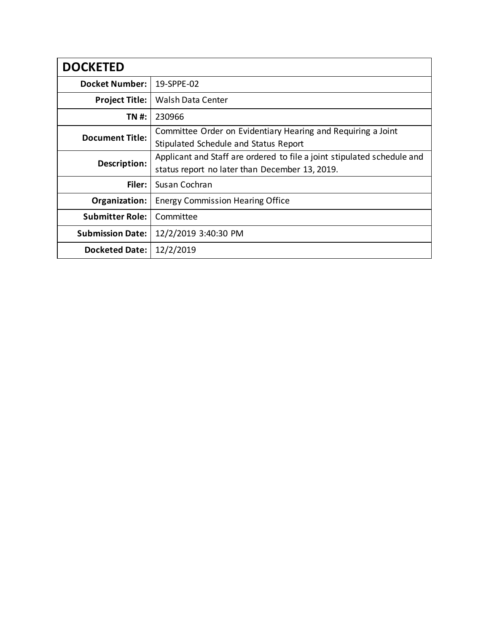| <b>DOCKETED</b>         |                                                                                                                           |
|-------------------------|---------------------------------------------------------------------------------------------------------------------------|
| <b>Docket Number:</b>   | 19-SPPE-02                                                                                                                |
| <b>Project Title:</b>   | Walsh Data Center                                                                                                         |
| TN #:                   | 230966                                                                                                                    |
| <b>Document Title:</b>  | Committee Order on Evidentiary Hearing and Requiring a Joint<br>Stipulated Schedule and Status Report                     |
| Description:            | Applicant and Staff are ordered to file a joint stipulated schedule and<br>status report no later than December 13, 2019. |
| Filer:                  | Susan Cochran                                                                                                             |
| Organization:           | <b>Energy Commission Hearing Office</b>                                                                                   |
| <b>Submitter Role:</b>  | Committee                                                                                                                 |
| <b>Submission Date:</b> | 12/2/2019 3:40:30 PM                                                                                                      |
| <b>Docketed Date:</b>   | 12/2/2019                                                                                                                 |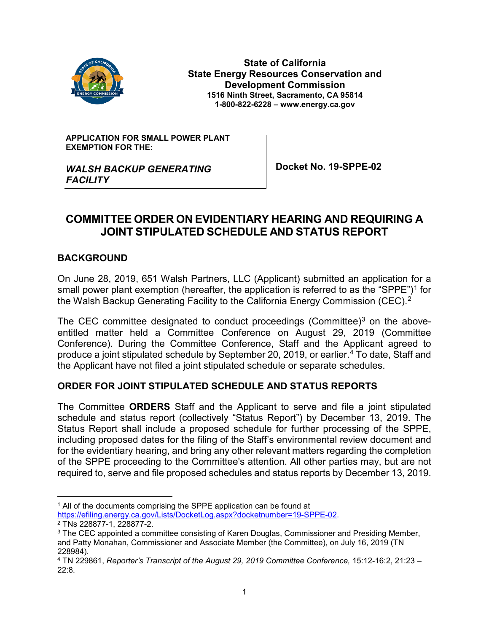

**State of California State Energy Resources Conservation and Development Commission 1516 Ninth Street, Sacramento, CA 95814 1-800-822-6228 – www.energy.ca.gov**

#### **APPLICATION FOR SMALL POWER PLANT EXEMPTION FOR THE:**

*WALSH BACKUP GENERATING* 

**Docket No. 19-SPPE-02**

# *FACILITY*

### **COMMITTEE ORDER ON EVIDENTIARY HEARING AND REQUIRING A JOINT STIPULATED SCHEDULE AND STATUS REPORT**

#### **BACKGROUND**

On June 28, 2019, 651 Walsh Partners, LLC (Applicant) submitted an application for a small power plant exemption (hereafter, the application is referred to as the "SPPE")<sup>[1](#page-1-0)</sup> for the Walsh Backup Generating Facility to the California Energy Commission (CEC).[2](#page-1-1)

The CEC committee designated to conduct proceedings (Committee)<sup>[3](#page-1-2)</sup> on the aboveentitled matter held a Committee Conference on August 29, 2019 (Committee Conference). During the Committee Conference, Staff and the Applicant agreed to produce a joint stipulated schedule by September 20, 2019, or earlier.<sup>[4](#page-1-3)</sup> To date, Staff and the Applicant have not filed a joint stipulated schedule or separate schedules.

#### **ORDER FOR JOINT STIPULATED SCHEDULE AND STATUS REPORTS**

The Committee **ORDERS** Staff and the Applicant to serve and file a joint stipulated schedule and status report (collectively "Status Report") by December 13, 2019. The Status Report shall include a proposed schedule for further processing of the SPPE, including proposed dates for the filing of the Staff's environmental review document and for the evidentiary hearing, and bring any other relevant matters regarding the completion of the SPPE proceeding to the Committee's attention. All other parties may, but are not required to, serve and file proposed schedules and status reports by December 13, 2019.

<span id="page-1-0"></span><sup>&</sup>lt;sup>1</sup> All of the documents comprising the SPPE application can be found at [https://efiling.energy.ca.gov/Lists/DocketLog.aspx?docketnumber=19-SPPE-02.](https://efiling.energy.ca.gov/Lists/DocketLog.aspx?docketnumber=19-SPPE-02) <sup>2</sup> TNs 228877-1, 228877-2.

<span id="page-1-2"></span><span id="page-1-1"></span><sup>&</sup>lt;sup>3</sup> The CEC appointed a committee consisting of Karen Douglas, Commissioner and Presiding Member, and Patty Monahan, Commissioner and Associate Member (the Committee), on July 16, 2019 (TN 228984).

<span id="page-1-3"></span><sup>4</sup> TN 229861, *Reporter's Transcript of the August 29, 2019 Committee Conference,* 15:12-16:2, 21:23 – 22:8.